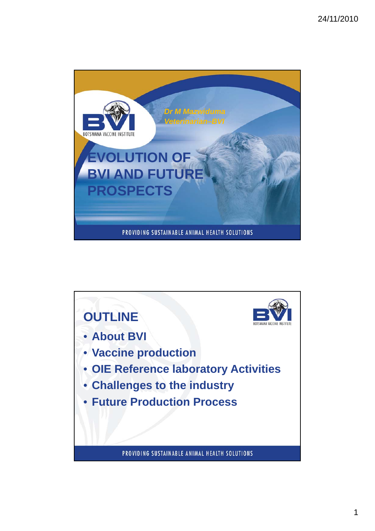

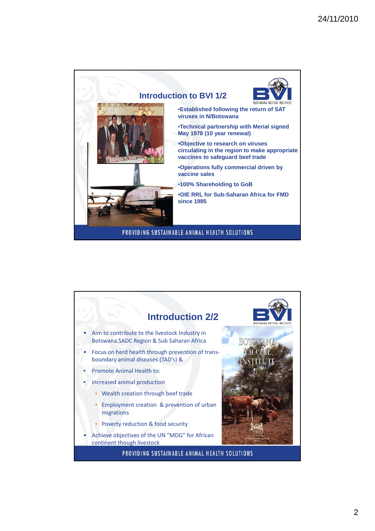

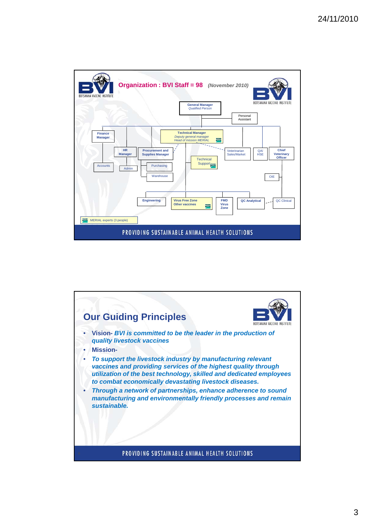

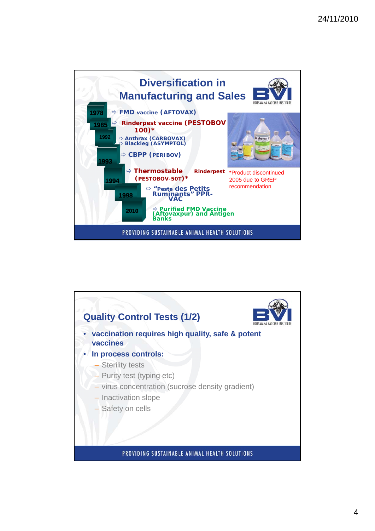

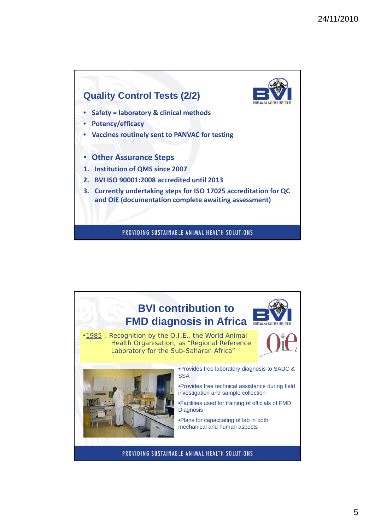

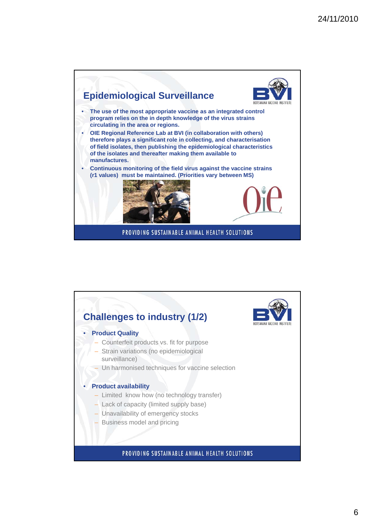

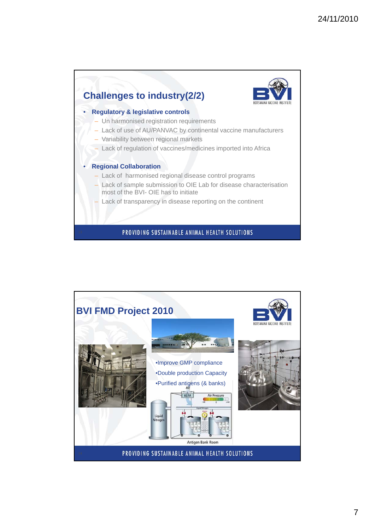